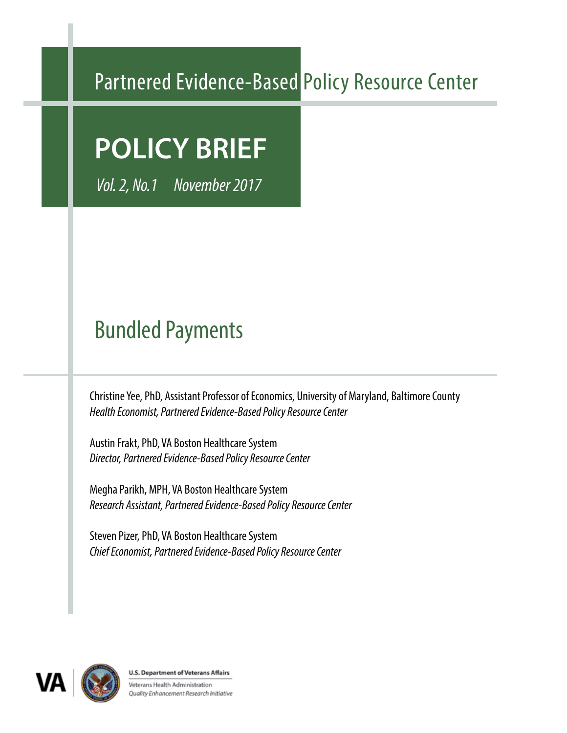# Partnered Evidence-Based Policy Resource Center

# **POLICY BRIEF**

*Vol. 2, No.1 November 2017*

# Bundled Payments

Christine Yee, PhD, Assistant Professor of Economics, University of Maryland, Baltimore County *Health Economist, Partnered Evidence-Based Policy Resource Center*

Austin Frakt, PhD, VA Boston Healthcare System *Director, Partnered Evidence-Based Policy Resource Center*

Megha Parikh, MPH, VA Boston Healthcare System *Research Assistant, Partnered Evidence-Based Policy Resource Center*

Steven Pizer, PhD, VA Boston Healthcare System *Chief Economist, Partnered Evidence-Based Policy Resource Center*



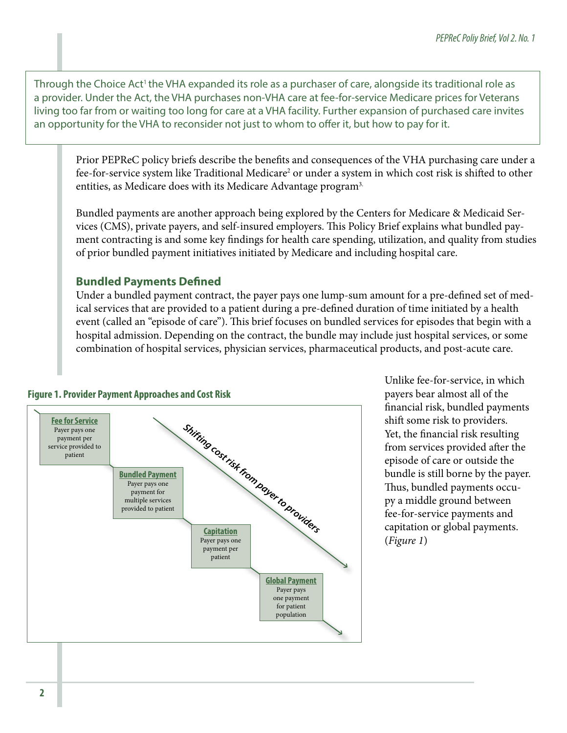Through the Choice Act<sup>1</sup> the VHA expanded its role as a purchaser of care, alongside its traditional role as a provider. Under the Act, the VHA purchases non-VHA care at fee-for-service Medicare prices for Veterans living too far from or waiting too long for care at a VHA facility. Further expansion of purchased care invites an opportunity for the VHA to reconsider not just to whom to offer it, but how to pay for it.

Prior PEPReC policy briefs describe the benefits and consequences of the VHA purchasing care under a fee-for-service system like Traditional Medicare<sup>2</sup> or under a system in which cost risk is shifted to other entities, as Medicare does with its Medicare Advantage program<sup>3.</sup>

Bundled payments are another approach being explored by the Centers for Medicare & Medicaid Services (CMS), private payers, and self-insured employers. This Policy Brief explains what bundled payment contracting is and some key findings for health care spending, utilization, and quality from studies of prior bundled payment initiatives initiated by Medicare and including hospital care.

# **Bundled Payments Defined**

Under a bundled payment contract, the payer pays one lump-sum amount for a pre-defined set of medical services that are provided to a patient during a pre-defined duration of time initiated by a health event (called an "episode of care"). This brief focuses on bundled services for episodes that begin with a hospital admission. Depending on the contract, the bundle may include just hospital services, or some combination of hospital services, physician services, pharmaceutical products, and post-acute care.

#### **Figure 1. Provider Payment Approaches and Cost Risk**



Unlike fee-for-service, in which payers bear almost all of the financial risk, bundled payments shift some risk to providers. Yet, the financial risk resulting from services provided after the episode of care or outside the bundle is still borne by the payer. Thus, bundled payments occupy a middle ground between fee-for-service payments and capitation or global payments. (*Figure 1*)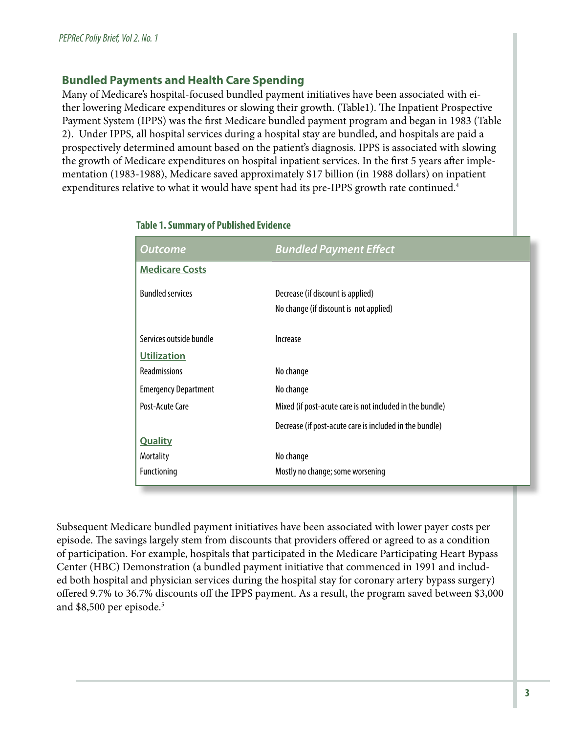## **Bundled Payments and Health Care Spending**

Many of Medicare's hospital-focused bundled payment initiatives have been associated with either lowering Medicare expenditures or slowing their growth. (Table1). The Inpatient Prospective Payment System (IPPS) was the first Medicare bundled payment program and began in 1983 (Table 2). Under IPPS, all hospital services during a hospital stay are bundled, and hospitals are paid a prospectively determined amount based on the patient's diagnosis. IPPS is associated with slowing the growth of Medicare expenditures on hospital inpatient services. In the first 5 years after implementation (1983-1988), Medicare saved approximately \$17 billion (in 1988 dollars) on inpatient expenditures relative to what it would have spent had its pre-IPPS growth rate continued.<sup>4</sup>

| Outcome                     | <b>Bundled Payment Effect</b>                                               |  |  |
|-----------------------------|-----------------------------------------------------------------------------|--|--|
| <b>Medicare Costs</b>       |                                                                             |  |  |
| <b>Bundled services</b>     | Decrease (if discount is applied)<br>No change (if discount is not applied) |  |  |
|                             |                                                                             |  |  |
| Services outside bundle     | Increase                                                                    |  |  |
| <b>Utilization</b>          |                                                                             |  |  |
| <b>Readmissions</b>         | No change                                                                   |  |  |
| <b>Emergency Department</b> | No change                                                                   |  |  |
| Post-Acute Care             | Mixed (if post-acute care is not included in the bundle)                    |  |  |
|                             | Decrease (if post-acute care is included in the bundle)                     |  |  |
| <b>Quality</b>              |                                                                             |  |  |
| <b>Mortality</b>            | No change                                                                   |  |  |
| <b>Functioning</b>          | Mostly no change; some worsening                                            |  |  |

#### **Table 1. Summary of Published Evidence**

Subsequent Medicare bundled payment initiatives have been associated with lower payer costs per episode. The savings largely stem from discounts that providers offered or agreed to as a condition of participation. For example, hospitals that participated in the Medicare Participating Heart Bypass Center (HBC) Demonstration (a bundled payment initiative that commenced in 1991 and included both hospital and physician services during the hospital stay for coronary artery bypass surgery) offered 9.7% to 36.7% discounts off the IPPS payment. As a result, the program saved between \$3,000 and \$8,500 per episode.<sup>5</sup>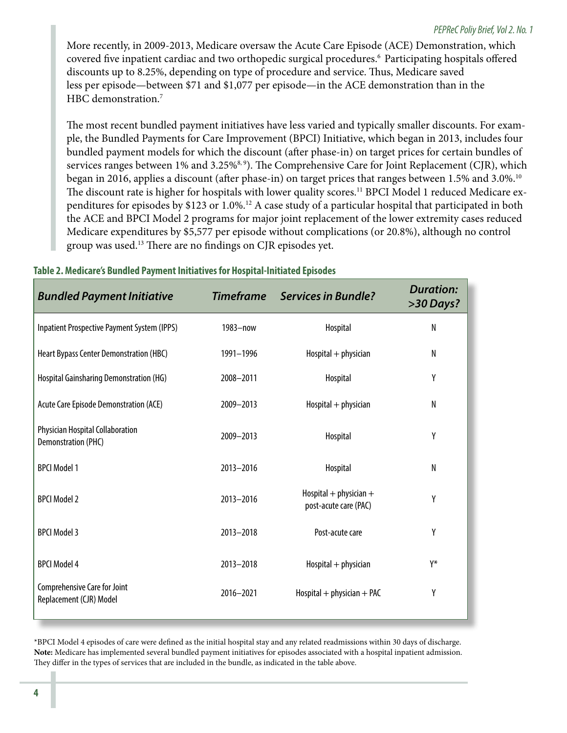More recently, in 2009-2013, Medicare oversaw the Acute Care Episode (ACE) Demonstration, which covered five inpatient cardiac and two orthopedic surgical procedures.6 Participating hospitals offered discounts up to 8.25%, depending on type of procedure and service. Thus, Medicare saved less per episode—between \$71 and \$1,077 per episode—in the ACE demonstration than in the HBC demonstration.<sup>7</sup>

The most recent bundled payment initiatives have less varied and typically smaller discounts. For example, the Bundled Payments for Care Improvement (BPCI) Initiative, which began in 2013, includes four bundled payment models for which the discount (after phase-in) on target prices for certain bundles of services ranges between 1% and 3.25%<sup>8,9</sup>). The Comprehensive Care for Joint Replacement (CJR), which began in 2016, applies a discount (after phase-in) on target prices that ranges between 1.5% and 3.0%.<sup>10</sup> The discount rate is higher for hospitals with lower quality scores.<sup>11</sup> BPCI Model 1 reduced Medicare expenditures for episodes by \$123 or 1.0%.12 A case study of a particular hospital that participated in both the ACE and BPCI Model 2 programs for major joint replacement of the lower extremity cases reduced Medicare expenditures by \$5,577 per episode without complications (or 20.8%), although no control group was used.13 There are no findings on CJR episodes yet.

| <b>Bundled Payment Initiative</b>                              | <b>Timeframe</b> | <b>Services in Bundle?</b>                          | <b>Duration:</b><br>>30 Days? |
|----------------------------------------------------------------|------------------|-----------------------------------------------------|-------------------------------|
| Inpatient Prospective Payment System (IPPS)                    | $1983 - now$     | Hospital                                            | $\mathsf{N}$                  |
| Heart Bypass Center Demonstration (HBC)                        | 1991-1996        | $Hospital + physical$                               | $\mathsf{N}$                  |
| Hospital Gainsharing Demonstration (HG)                        | 2008-2011        | Hospital                                            | Y                             |
| Acute Care Episode Demonstration (ACE)                         | 2009-2013        | $Hospital + physical$                               | $\mathsf{N}$                  |
| Physician Hospital Collaboration<br><b>Demonstration (PHC)</b> | 2009-2013        | Hospital                                            | Y                             |
| <b>BPCI Model 1</b>                                            | 2013-2016        | Hospital                                            | N                             |
| <b>BPCI Model 2</b>                                            | 2013-2016        | Hospital $+$ physician $+$<br>post-acute care (PAC) | Y                             |
| <b>BPCI Model 3</b>                                            | 2013-2018        | Post-acute care                                     | Y                             |
| <b>BPCI Model 4</b>                                            | 2013-2018        | $Hospital + physical$                               | Y*                            |
| Comprehensive Care for Joint<br>Replacement (CJR) Model        | 2016-2021        | $Hospital + physician + PAC$                        | Y                             |

#### **Table 2. Medicare's Bundled Payment Initiatives for Hospital-Initiated Episodes**

\*BPCI Model 4 episodes of care were defined as the initial hospital stay and any related readmissions within 30 days of discharge. **Note:** Medicare has implemented several bundled payment initiatives for episodes associated with a hospital inpatient admission. They differ in the types of services that are included in the bundle, as indicated in the table above.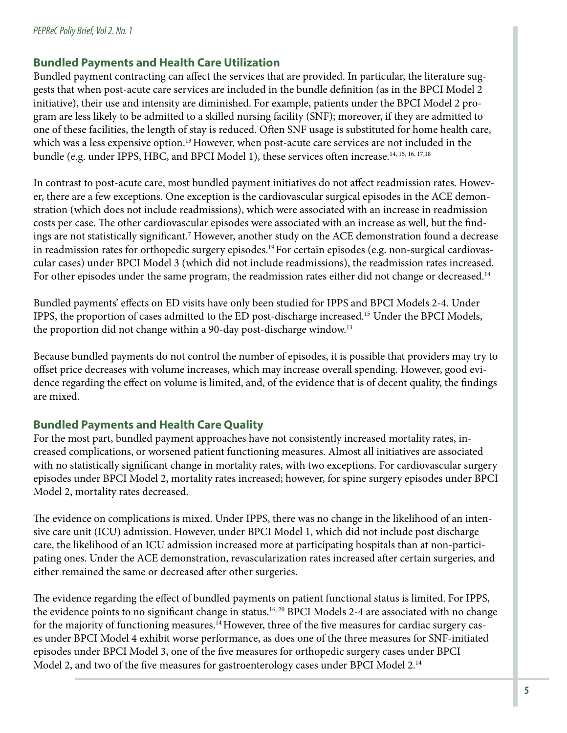### **Bundled Payments and Health Care Utilization**

Bundled payment contracting can affect the services that are provided. In particular, the literature suggests that when post-acute care services are included in the bundle definition (as in the BPCI Model 2 initiative), their use and intensity are diminished. For example, patients under the BPCI Model 2 program are less likely to be admitted to a skilled nursing facility (SNF); moreover, if they are admitted to one of these facilities, the length of stay is reduced. Often SNF usage is substituted for home health care, which was a less expensive option.<sup>13</sup> However, when post-acute care services are not included in the bundle (e.g. under IPPS, HBC, and BPCI Model 1), these services often increase.<sup>14, 15, 16, 17, 18</sup>

In contrast to post-acute care, most bundled payment initiatives do not affect readmission rates. However, there are a few exceptions. One exception is the cardiovascular surgical episodes in the ACE demonstration (which does not include readmissions), which were associated with an increase in readmission costs per case. The other cardiovascular episodes were associated with an increase as well, but the findings are not statistically significant.7 However, another study on the ACE demonstration found a decrease in readmission rates for orthopedic surgery episodes.<sup>19</sup> For certain episodes (e.g. non-surgical cardiovascular cases) under BPCI Model 3 (which did not include readmissions), the readmission rates increased. For other episodes under the same program, the readmission rates either did not change or decreased.<sup>14</sup>

Bundled payments' effects on ED visits have only been studied for IPPS and BPCI Models 2-4. Under IPPS, the proportion of cases admitted to the ED post-discharge increased.15 Under the BPCI Models, the proportion did not change within a 90-day post-discharge window.13

Because bundled payments do not control the number of episodes, it is possible that providers may try to offset price decreases with volume increases, which may increase overall spending. However, good evidence regarding the effect on volume is limited, and, of the evidence that is of decent quality, the findings are mixed.

## **Bundled Payments and Health Care Quality**

For the most part, bundled payment approaches have not consistently increased mortality rates, increased complications, or worsened patient functioning measures. Almost all initiatives are associated with no statistically significant change in mortality rates, with two exceptions. For cardiovascular surgery episodes under BPCI Model 2, mortality rates increased; however, for spine surgery episodes under BPCI Model 2, mortality rates decreased.

The evidence on complications is mixed. Under IPPS, there was no change in the likelihood of an intensive care unit (ICU) admission. However, under BPCI Model 1, which did not include post discharge care, the likelihood of an ICU admission increased more at participating hospitals than at non-participating ones. Under the ACE demonstration, revascularization rates increased after certain surgeries, and either remained the same or decreased after other surgeries.

The evidence regarding the effect of bundled payments on patient functional status is limited. For IPPS, the evidence points to no significant change in status.<sup>16, 20</sup> BPCI Models 2-4 are associated with no change for the majority of functioning measures.<sup>14</sup> However, three of the five measures for cardiac surgery cases under BPCI Model 4 exhibit worse performance, as does one of the three measures for SNF-initiated episodes under BPCI Model 3, one of the five measures for orthopedic surgery cases under BPCI Model 2, and two of the five measures for gastroenterology cases under BPCI Model 2.14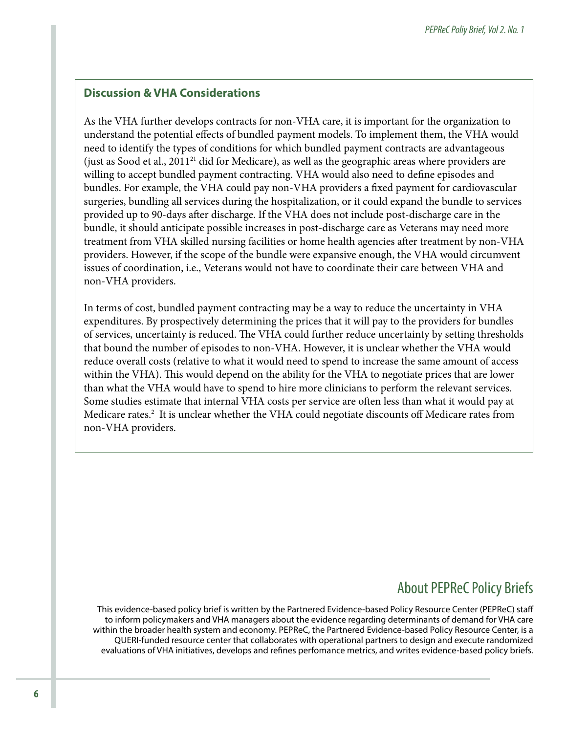#### **Discussion & VHA Considerations**

As the VHA further develops contracts for non-VHA care, it is important for the organization to understand the potential effects of bundled payment models. To implement them, the VHA would need to identify the types of conditions for which bundled payment contracts are advantageous (just as Sood et al., 201121 did for Medicare), as well as the geographic areas where providers are willing to accept bundled payment contracting. VHA would also need to define episodes and bundles. For example, the VHA could pay non-VHA providers a fixed payment for cardiovascular surgeries, bundling all services during the hospitalization, or it could expand the bundle to services provided up to 90-days after discharge. If the VHA does not include post-discharge care in the bundle, it should anticipate possible increases in post-discharge care as Veterans may need more treatment from VHA skilled nursing facilities or home health agencies after treatment by non-VHA providers. However, if the scope of the bundle were expansive enough, the VHA would circumvent issues of coordination, i.e., Veterans would not have to coordinate their care between VHA and non-VHA providers.

In terms of cost, bundled payment contracting may be a way to reduce the uncertainty in VHA expenditures. By prospectively determining the prices that it will pay to the providers for bundles of services, uncertainty is reduced. The VHA could further reduce uncertainty by setting thresholds that bound the number of episodes to non-VHA. However, it is unclear whether the VHA would reduce overall costs (relative to what it would need to spend to increase the same amount of access within the VHA). This would depend on the ability for the VHA to negotiate prices that are lower than what the VHA would have to spend to hire more clinicians to perform the relevant services. Some studies estimate that internal VHA costs per service are often less than what it would pay at Medicare rates.<sup>2</sup> It is unclear whether the VHA could negotiate discounts off Medicare rates from non-VHA providers.

# About PEPReC Policy Briefs

This evidence-based policy brief is written by the Partnered Evidence-based Policy Resource Center (PEPReC) staff to inform policymakers and VHA managers about the evidence regarding determinants of demand for VHA care within the broader health system and economy. PEPReC, the Partnered Evidence-based Policy Resource Center, is a QUERI-funded resource center that collaborates with operational partners to design and execute randomized evaluations of VHA initiatives, develops and refines perfomance metrics, and writes evidence-based policy briefs.